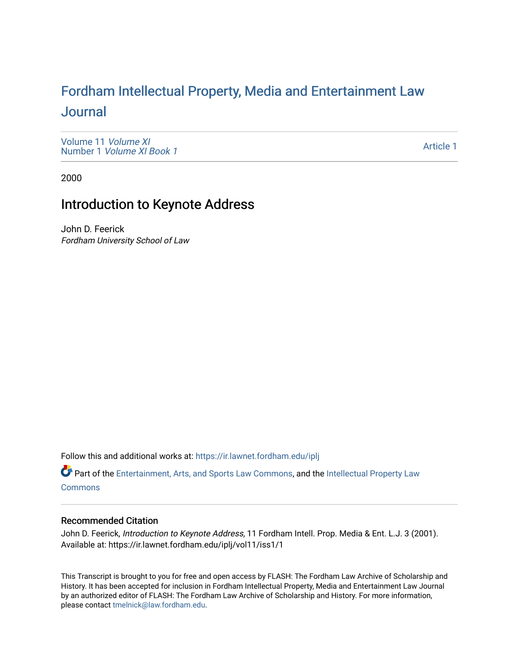# For[dham Intellectual Property, Media and Enter](https://ir.lawnet.fordham.edu/iplj)tainment Law [Journal](https://ir.lawnet.fordham.edu/iplj)

[Volume 11](https://ir.lawnet.fordham.edu/iplj/vol11) Volume XI Number 1 [Volume XI Book 1](https://ir.lawnet.fordham.edu/iplj/vol11/iss1)

[Article 1](https://ir.lawnet.fordham.edu/iplj/vol11/iss1/1) 

2000

### Introduction to Keynote Address

John D. Feerick Fordham University School of Law

Follow this and additional works at: [https://ir.lawnet.fordham.edu/iplj](https://ir.lawnet.fordham.edu/iplj?utm_source=ir.lawnet.fordham.edu%2Fiplj%2Fvol11%2Fiss1%2F1&utm_medium=PDF&utm_campaign=PDFCoverPages) 

Part of the [Entertainment, Arts, and Sports Law Commons](http://network.bepress.com/hgg/discipline/893?utm_source=ir.lawnet.fordham.edu%2Fiplj%2Fvol11%2Fiss1%2F1&utm_medium=PDF&utm_campaign=PDFCoverPages), and the [Intellectual Property Law](http://network.bepress.com/hgg/discipline/896?utm_source=ir.lawnet.fordham.edu%2Fiplj%2Fvol11%2Fiss1%2F1&utm_medium=PDF&utm_campaign=PDFCoverPages) [Commons](http://network.bepress.com/hgg/discipline/896?utm_source=ir.lawnet.fordham.edu%2Fiplj%2Fvol11%2Fiss1%2F1&utm_medium=PDF&utm_campaign=PDFCoverPages)

#### Recommended Citation

John D. Feerick, Introduction to Keynote Address, 11 Fordham Intell. Prop. Media & Ent. L.J. 3 (2001). Available at: https://ir.lawnet.fordham.edu/iplj/vol11/iss1/1

This Transcript is brought to you for free and open access by FLASH: The Fordham Law Archive of Scholarship and History. It has been accepted for inclusion in Fordham Intellectual Property, Media and Entertainment Law Journal by an authorized editor of FLASH: The Fordham Law Archive of Scholarship and History. For more information, please contact [tmelnick@law.fordham.edu](mailto:tmelnick@law.fordham.edu).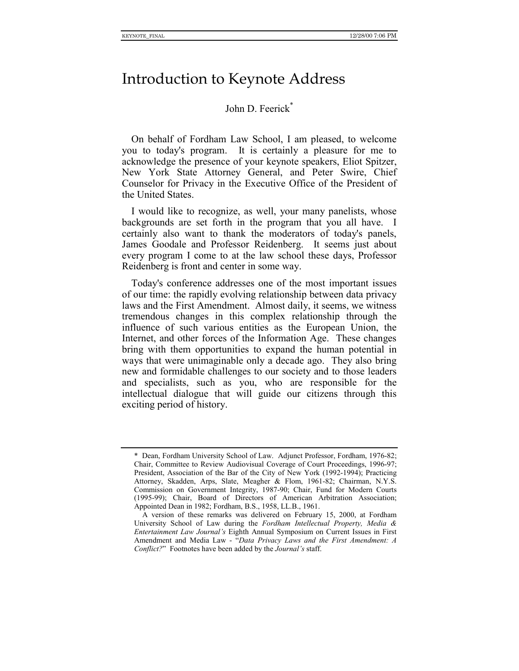## Introduction to Keynote Address

### John D. Feerick<sup>\*</sup>

On behalf of Fordham Law School, I am pleased, to welcome you to today's program. It is certainly a pleasure for me to acknowledge the presence of your keynote speakers, Eliot Spitzer, New York State Attorney General, and Peter Swire, Chief Counselor for Privacy in the Executive Office of the President of the United States.

I would like to recognize, as well, your many panelists, whose backgrounds are set forth in the program that you all have. I certainly also want to thank the moderators of today's panels, James Goodale and Professor Reidenberg. It seems just about every program I come to at the law school these days, Professor Reidenberg is front and center in some way.

Today's conference addresses one of the most important issues of our time: the rapidly evolving relationship between data privacy laws and the First Amendment. Almost daily, it seems, we witness tremendous changes in this complex relationship through the influence of such various entities as the European Union, the Internet, and other forces of the Information Age. These changes bring with them opportunities to expand the human potential in ways that were unimaginable only a decade ago. They also bring new and formidable challenges to our society and to those leaders and specialists, such as you, who are responsible for the intellectual dialogue that will guide our citizens through this exciting period of history.

<sup>\*</sup> Dean, Fordham University School of Law. Adjunct Professor, Fordham, 1976-82; Chair, Committee to Review Audiovisual Coverage of Court Proceedings, 1996-97; President, Association of the Bar of the City of New York (1992-1994); Practicing Attorney, Skadden, Arps, Slate, Meagher & Flom, 1961-82; Chairman, N.Y.S. Commission on Government Integrity, 1987-90; Chair, Fund for Modern Courts (1995-99); Chair, Board of Directors of American Arbitration Association; Appointed Dean in 1982; Fordham, B.S., 1958, LL.B., 1961.

A version of these remarks was delivered on February 15, 2000, at Fordham University School of Law during the *Fordham Intellectual Property, Media & Entertainment Law Journalís* Eighth Annual Symposium on Current Issues in First Amendment and Media Law - "Data Privacy Laws and the First Amendment: A *Conflict?*" Footnotes have been added by the *Journal's* staff.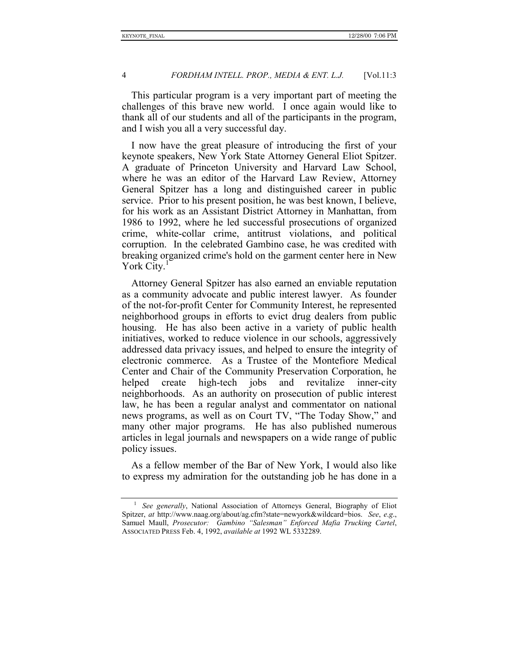#### 4 *FORDHAM INTELL. PROP., MEDIA & ENT. L.J.* [Vol.11:3

This particular program is a very important part of meeting the challenges of this brave new world. I once again would like to thank all of our students and all of the participants in the program, and I wish you all a very successful day.

I now have the great pleasure of introducing the first of your keynote speakers, New York State Attorney General Eliot Spitzer. A graduate of Princeton University and Harvard Law School, where he was an editor of the Harvard Law Review, Attorney General Spitzer has a long and distinguished career in public service. Prior to his present position, he was best known, I believe, for his work as an Assistant District Attorney in Manhattan, from 1986 to 1992, where he led successful prosecutions of organized crime, white-collar crime, antitrust violations, and political corruption. In the celebrated Gambino case, he was credited with breaking organized crime's hold on the garment center here in New York City.<sup>1</sup>

Attorney General Spitzer has also earned an enviable reputation as a community advocate and public interest lawyer. As founder of the not-for-profit Center for Community Interest, he represented neighborhood groups in efforts to evict drug dealers from public housing. He has also been active in a variety of public health initiatives, worked to reduce violence in our schools, aggressively addressed data privacy issues, and helped to ensure the integrity of electronic commerce. As a Trustee of the Montefiore Medical Center and Chair of the Community Preservation Corporation, he helped create high-tech jobs and revitalize inner-city neighborhoods. As an authority on prosecution of public interest law, he has been a regular analyst and commentator on national news programs, as well as on Court TV, "The Today Show," and many other major programs. He has also published numerous articles in legal journals and newspapers on a wide range of public policy issues.

As a fellow member of the Bar of New York, I would also like to express my admiration for the outstanding job he has done in a

<sup>1</sup> *See generally*, National Association of Attorneys General, Biography of Eliot Spitzer, *at* http://www.naag.org/about/ag.cfm?state=newyork&wildcard=bios. *See*, *e*.*g*., Samuel Maull, Prosecutor: Gambino "Salesman" Enforced Mafia Trucking Cartel, ASSOCIATED PRESS Feb. 4, 1992, *available at* 1992 WL 5332289.